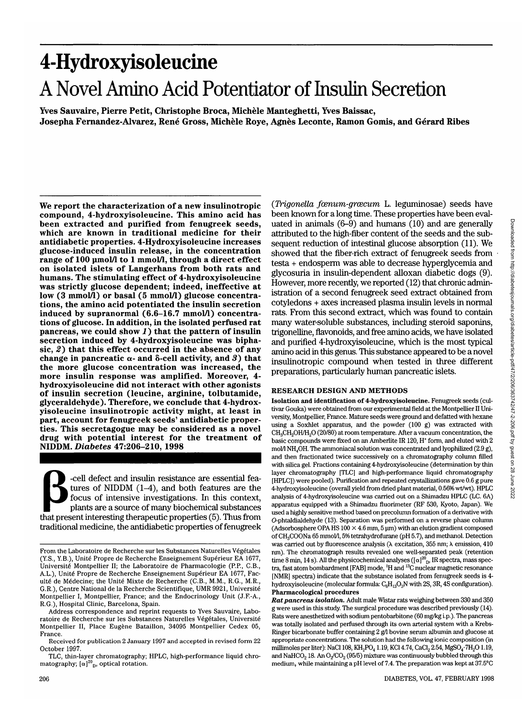# 4-Hydroxyisoleucine A Novel Amino Acid Potentiator of Insulin Secretion

**Yves Sauvaire, Pierre Petit, Christophe Broca, Michele Manteghetti, Yves Baissac, Josepha Fernandez-Alvarez, Rene Gross, Michele Roye, Agnes Leconte, Ramon Gomis, and Gerard Ribes**

**We report the characterization of a new insulinotropic compound, 4-hydroxyisoleucine. This amino acid has** which are known in traditional medicine for their **antidiabetic properties. 4-Hydroxyisoleucine increases glucose-induced insulin release, in the concentration range of 100 umol/1 to 1 mmol/1, through a direct effect on isolated islets of Langerhans from both rats and humans. The stimulating effect of 4-hydroxyisoleucine was strictly glucose dependent; indeed, ineffective at low (3 mmol/1) or basal (5 mmol/1) glucose concentra- tions, the amino acid potentiated the insulin secretion induced by supranormal (6.6-16.7 mmol/1) concentra- tions of glucose. In addition, in the isolated perfused rat** pancreas, we could show 1) that the pattern of insulin **secretion induced by 4-hydroxyisoleucine was bipha- sic, 2)** that this effect occurred in the absence of any change in pancreatic  $\alpha$ - and  $\delta$ -cell activity, and  $\beta$ ) that **the more glucose concentration was increased, the more insulin response was amplified. Moreover, 4- hydroxyisoleucine did not interact with other agonists of insulin secretion (leucine, arginine, tolbutamide, glyceraldehyde). Therefore, we conclude that 4-hydrox- yisoleucine insulinotropic activity might, at least in part, account for fenugreek seeds' antidiabetic proper- ties. This secretagogue may be considered as a novel drug with potential interest for the treatment of NIDDM.** *Diabetes* **47:206-210, 1998**

-cell defect and insulin resistance are essential features of NIDDM  $(1-4)$ , and both features are the focus of intensive investigations. In this context, plants are a source of many biochemical substances that present interesting therapeutic properties (5). Thus from traditional medicine, the antidiabetic properties of fenugreek

*(Trigonella foenum-groecum L. leguminosae)* seeds have been known for a long time. These properties have been evaluated in animals (6-9) and humans (10) and are generally attributed to the high-fiber content of the seeds and the subsequent reduction of intestinal glucose absorption (11). We showed that the fiber-rich extract of fenugreek seeds from testa + endosperm was able to decrease hyperglycemia and glycosuria in insulin-dependent alloxan diabetic dogs (9). However, more recently, we reported (12) that chronic administration of a second fenugreek seed extract obtained from cotyledons + axes increased plasma insulin levels in normal rats. From this second extract, which was found to contain many water-soluble substances, including steroid saponins, trigonelline, flavonoids, and free amino acids, we have isolated and purified 4-hydroxyisoleucine, which is the most typical amino acid in this genus. This substance appeared to be a novel insulinotropic compound when tested in three different preparations, particularly human pancreatic islets.

#### **RESEARCH DESIGN AND METHODS**

**Isolation and identification of 4-hydroxyisoleucine.** Fenugreek seeds (cultivar Gouka) were obtained from our experimental field at the Montpellier II University, Montpellier, France. Mature seeds were ground and defatted with hexane using a Soxhlet apparatus, and the powder (100 g) was extracted with CH<sub>3</sub>CH<sub>2</sub>OH/H<sub>2</sub>O (20/80) at room temperature. After a vacuum concentration, the basic compounds were fixed on an Amberlite IR 120, H<sup>+</sup> form, and eluted with 2 mol/l NH<sub>4</sub>OH. The ammoniacal solution was concentrated and lyophilized (2.9 g), and then fractionated twice successively on a chromatography column filled with silica gel. Fractions containing 4-hydroxyisoleucine (determination by thin layer chromatography [TLC] and high-performance liquid chromatography [HPLC]) were pooled). Purification and repeated crystallizations gave 0.6 g pure 4-hydroxyisoleucine (overall yield from dried plant material, 0.56% wt/wt). HPLC analysis of 4-hydroxyisoleucine was carried out on a Shimadzu HPLC (LC. 6A) apparatus equipped with a Shimadzu fluorimeter (RF 530, Kyoto, Japan). We used a highly sensitive method based on precolumn formation of a derivative with O-phtaldialdehyde (13). Separation was performed on a reverse phase column (Adsorbosphere OPA HS  $100 \times 4.6$  mm,  $5 \mu$ m) with an elution gradient composed of CH<sub>3</sub>COONa 65 mmol/l, 5% tetrahydrofurane (pH 5.7), and methanol. Detection was carried out by fluorescence analysis  $(\lambda$  excitation, 355 nm;  $\lambda$  emission, 410 run). The chromatograph results revealed one well-separated peak (retention time 8 min, 14 s). All the physicochemical analyses ( $[\alpha]^{\mathcal{D}}_{D}$ , IR spectra, mass spectra, fast atom bombardment [FAB] mode, 'H and 13C nuclear magnetic resonance [NMR] spectra) indicate that the substance isolated from fenugreek seeds is 4 hydroxyisoleucine (molecular formula:  $C_6H_{13}O_3N$  with 2S, 3R, 4S configuration). **Pharmacological procedures**

*Rat pancreas isolation.* Adult male Wistar rats weighing between 330 and 350 g were used in this study. The surgical procedure was described previously (14). Rats were anesthetized with sodium pentobarbitone (60 mg/kg i.p.). The pancreas was totally isolated and perfused through its own arterial system with a Krebs-Ringer bicarbonate buffer containing 2 g/1 bovine serum albumin and glucose at appropriate concentrations. The solution had the following ionic composition (in millimoles per liter): NaCl 108,  $KH_2PO_4$  1.19, KCl 4.74, CaCl<sub>2</sub> 2.54, MgSO<sub>4</sub>·7H<sub>2</sub>O 1.19, and NaHCO<sub>2</sub> 18. An O<sub>2</sub>/CO<sub>2</sub> (95/5) mixture was continuously bubbled through this medium, while maintaining a pH level of 7.4. The preparation was kept at 37.5°C

From the Laboratoire de Recherche sur les Substances Naturelles Végétales (Y.S., Y.B.), Unite Propre de Recherche Enseignement Superieur EA 1677, Université Montpellier II; the Laboratoire de Pharmacologie (P.P., C.B., A.L.), Unité Propre de Recherche Enseignement Supérieur EA 1677, Faculté de Médecine; the Unité Mixte de Recherche (C.B., M.M., R.G., M.R., G.R.), Centre National de la Recherche Scientifique, UMR 9921, Universite Montpellier I, Montpellier, France; and the Endocrinology Unit (J.F.-A., R.G.), Hospital Clinic, Barcelona, Spain.

Address correspondence and reprint requests to Yves Sauvaire, Laboratoire de Recherche sur les Substances Naturelles Végétales, Université Montpellier II, Place Eugène Bataillon, 34095 Montpellier Cedex 05, France.

Received for publication 2 January 1997 and accepted in revised form 22 October 1997.

TLC, thin-layer chromatography; HPLC, high-performance liquid chromatography;  $[\alpha]^{20}$ <sub>D</sub>, optical rotation.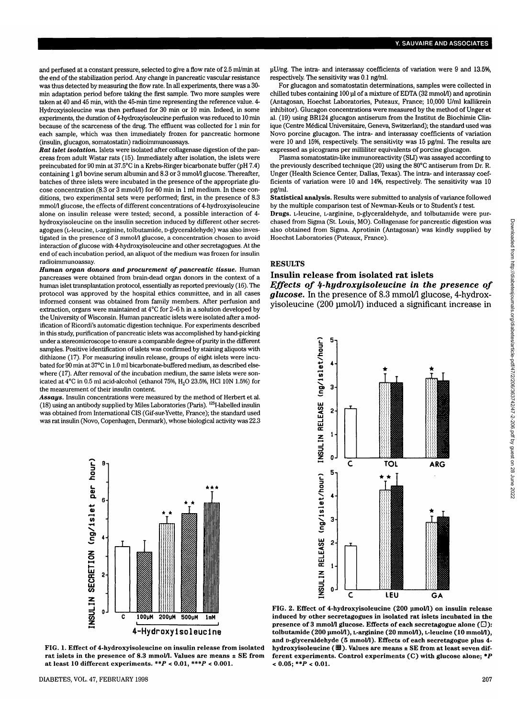and perfused at a constant pressure, selected to give a flow rate of 2.5 ml/min at the end of the stabilization period. Any change in pancreatic vascular resistance was thus detected by measuring the flow rate. In all experiments, there was a 30 min adaptation period before taking the first sample. Two more samples were taken at 40 and 45 min, with the 45-min time representing the reference value. 4- Hydroxyisoleucine was then perfused for 30 min or 10 min. Indeed, in some experiments, the duration of 4-hydroxyisoleucine perfusion was reduced to 10 min because of the scarceness of the drug. The effluent was collected for 1 min for each sample, which was then immediately frozen for pancreatic hormone (insulin, glucagon, somatostatin) radioimmunoassays.

*Rat islet isolation.* Islets were isolated after collagenase digestion of the pancreas from adult Wistar rats (15). Immediately after isolation, the islets were preincubated for 90 min at 37.5°C in a Krebs-Ringer bicarbonate buffer (pH 7.4) containing 1 g/l bovine serum albumin and 8.3 or 3 mmol/l glucose. Thereafter, batches of three islets were incubated in the presence of the appropriate glucose concentration (8.3 or 3 mmol/1) for 60 min in 1 ml medium. In these conditions, two experimental sets were performed; first, in the presence of 8.3 mmol/1 glucose, the effects of different concentrations of 4-hydroxyisoleucine alone on insulin release were tested; second, a possible interaction of 4 hydroxyisoleucine on the insulin secretion induced by different other secretagogues (L-leucine, L-arginine, tolbutamide, D-glyceraldehyde) was also investigated in the presence of 3 mmol/1 glucose, a concentration chosen to avoid interaction of glucose with 4-hydroxyisoleucine and other secretagogues. At the end of each incubation period, an aliquot of the medium was frozen for insulin radioimmunoassay.

*Human organ donors and procurement of pancreatic tissue.* Human pancreases were obtained from brain-dead organ donors in the context of a human islet transplantation protocol, essentially as reported previously (16). The protocol was approved by the hospital ethics committee, and in all cases informed consent was obtained from family members. After perfusion and extraction, organs were maintained at 4°C for 2-6 h in a solution developed by the University of Wisconsin. Human pancreatic islets were isolated after a modification of Ricordi's automatic digestion technique. For experiments described in this study, purification of pancreatic islets was accomplished by hand-picking under a stereomicroscope to ensure a comparable degree of purity in the different samples. Positive identification of islets was confirmed by staining aliquots with dithizone (17). For measuring insulin release, groups of eight islets were incubated for 90 min at 37°C in 1.0 ml bicarbonate-buffered medium, as described elsewhere (17). After removal of the incubation medium, the same islets were sonicated at 4°C in 0.5 ml acid-alcohol (ethanol 75%, H2O 23.5%, HC1 ION 1.5%) for the measurement of their insulin content.

*Assays.* Insulin concentrations were measured by the method of Herbert et al. (18) using an antibody supplied by Miles Laboratories (Paris). <sup>125</sup>I-labelled insulin was obtained from International CIS (Gif-sur-Yvette, France); the standard used was rat insulin (Novo, Copenhagen, Denmark), whose biological activity was 22.3



**FIG. 1. Effect of 4-hydroxyisoleucine on insulin release from isolated rat islets in the presence of 8.3 mmol/1. Values are means ± SE from at least 10 different experiments.** *\*\*P <* **0.01,** *\*\*\*P <* **0.001.**

uU/ng. The intra- and interassay coefficients of variation were 9 and 13.5%, respectively. The sensitivity was 0.1 ng/ml.

For glucagon and somatostatin determinations, samples were collected in chilled tubes containing 100 ul of a mixture of EDTA (32 mmol/l) and aprotinin (Antagosan, Hoechst Laboratories, Puteaux, France; 10,000 U/ml kallikrein inhibitor). Glucagon concentrations were measured by the method of Unger et al. (19) using BR124 glucagon antiserum from the Institut de Biochimie Clinique (Centre Médical Universitaire, Geneva, Switzerland); the standard used was Novo porcine glucagon. The intra- and interassay coefficients of variation were 10 and 15%, respectively. The sensitivity was 15 pg/ml. The results are expressed as picograms per milliliter equivalents of porcine glucagon.

Plasma somatostatin-like immunoreactivity (SLI) was assayed according to the previously described technique (20) using the 80°C antiserum from Dr. R. Unger (Health Science Center, Dallas, Texas). The intra- and interassay coefficients of variation were 10 and 14%, respectively. The sensitivity was 10 pg/ml.

**Statistical analysis.** Results were submitted to analysis of variance followed by the multiple comparison test of Newman-Keuls or to Student's *t* test.

**Drugs.** L-leucine, L-arginine, D-glyceraldehyde, and tolbutamide were purchased from Sigma (St. Louis, MO). Collagenase for pancreatic digestion was also obtained from Sigma. Aprotinin (Antagosan) was kindly supplied by Hoechst Laboratories (Puteaux, France).

#### RESULTS

#### **Insulin release from isolated rat islets** *Effects of 4-hydroxyisoleucine in the presence of*

*glucose.* In the presence of 8.3 mmol/1 glucose, 4-hydroxyisoleucine (200 umol/1) induced a significant increase in



**FIG. 2. Effect of 4-hydroxyisoleucine (200 umol/1) on insulin release induced by other secretagogues in isolated rat islets incubated in the presence of 3 mmol/1 glucose. Effects of each secretagogue alone (Q): tolbutamide (200 umol/1), L-arginine (20 mmol/1), L-leucine (10 mmol/1), and D-glyceraldehyde (5 mmol/1). Effects of each secretagogue plus 4** hydroxyisoleucine (**田**). Values are means ± SE from at least seven dif**ferent experiments. Control experiments (C) with glucose alone;** *\*P <* **0.05; \*\*P** < **0.01.**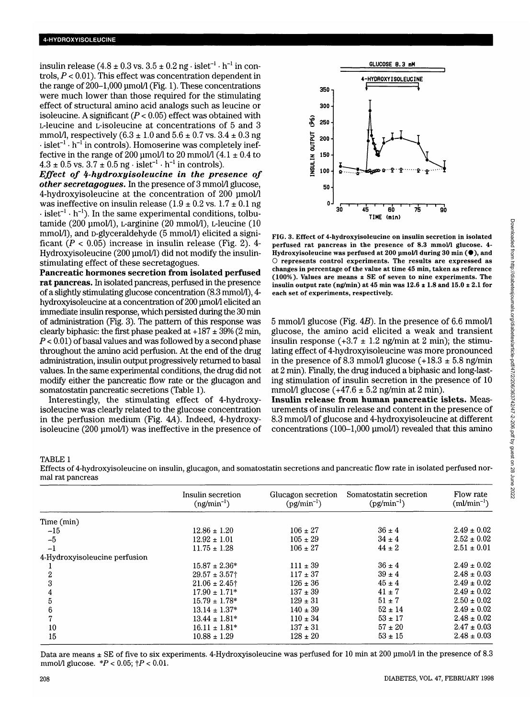insulin release  $(4.8 \pm 0.3 \text{ vs. } 3.5 \pm 0.2 \text{ ng} \cdot \text{islet}^{-1} \cdot \text{h}^{-1} \text{ in con-}$ trols, *P* < 0.01). This effect was concentration dependent in the range of 200-1,000 umol/1 (Fig. 1). These concentrations were much lower than those required for the stimulating effect of structural amino acid analogs such as leucine or isoleucine. A significant *(P <* 0.05) effect was obtained with L-leucine and L-isoleucine at concentrations of 5 and 3 mmol/l, respectively  $(6.3 \pm 1.0 \text{ and } 5.6 \pm 0.7 \text{ vs. } 3.4 \pm 0.3 \text{ ng})$  $\cdot$  islet<sup>-1</sup> $\cdot$  h<sup>-1</sup> in controls). Homoserine was completely ineffective in the range of 200 µmol/l to 20 mmol/l  $(4.1 \pm 0.4$  to  $4.3 \pm 0.5$  vs.  $3.7 \pm 0.5$  ng · islet<sup>-1</sup> · h<sup>-1</sup> in controls).

*Effect of 4-hydroxyisoleucine in the presence of other secretagogues.* In the presence of 3 mmol/1 glucose, 4-hydroxyisoleucine at the concentration of 200 umol/1 was ineffective on insulin release  $(1.9 \pm 0.2 \text{ vs. } 1.7 \pm 0.1 \text{ ng})$  $\cdot$  islet<sup>-1</sup>  $\cdot$  h<sup>-1</sup>). In the same experimental conditions, tolbutamide (200 umol/1), L-arginine (20 mmol/1), L-leucine (10 mmol/l), and D-glyceraldehyde (5 mmol/l) elicited a significant  $(P < 0.05)$  increase in insulin release (Fig. 2). 4-Hydroxyisoleucine (200 µmol/l) did not modify the insulinstimulating effect of these secretagogues.

**Pancreatic hormones secretion from isolated perfused rat pancreas.** In isolated pancreas, perfused in the presence of a slightly stimulating glucose concentration (8.3 mmol/1), 4 hydroxyisoleucine at a concentration of 200 µmol/l elicited an immediate insulin response, which persisted during the 30 min of administration (Fig. 3). The pattern of this response was clearly biphasic: the first phase peaked at  $+187 \pm 39\%$  (2 min, *P <* 0.01) of basal values and was followed by a second phase throughout the amino acid perfusion. At the end of the drug administration, insulin output progressively returned to basal values. In the same experimental conditions, the drug did not modify either the pancreatic flow rate or the glucagon and somatostatin pancreatic secretions (Table 1).

Interestingly, the stimulating effect of 4-hydroxyisoleucine was clearly related to the glucose concentration in the perfusion medium (Fig. 4A). Indeed, 4-hydroxyisoleucine (200 umol/1) was ineffective in the presence of



FIG. 3. Effect of 4-hydroxyisoleucine on insulin secretion in isolated perfused rat pancreas in the presence of 8.3 mmol/l glucose. 4-Hydroxyisoleucine was perfused at 200 µmol/1 during 30 min ( $\bullet$ ), and O represents control experiments. The results are expressed as changes in percentage of the value at time 45 min, taken as reference (100%). Values are means ± SE of seven to nine experiments. The insulin output rate (ng/min) at 45 min was  $12.6 \pm 1.8$  and  $15.0 \pm 2.1$  for each set of experiments, respectively.

5 mmol/l glucose (Fig.  $4B$ ). In the presence of 6.6 mmol/l glucose, the amino acid elicited a weak and transient insulin response  $(+3.7 \pm 1.2 \text{ ng/min at } 2 \text{ min})$ ; the stimulating effect of 4-hydroxyisoleucine was more pronounced in the presence of 8.3 mmol/l glucose  $(+18.3 \pm 5.8 \text{ ng/min})$ at 2 min). Finally, the drug induced a biphasic and long-lasting stimulation of insulin secretion in the presence of 10 mmol/l glucose  $(+47.6 \pm 5.2 \text{ ng/min at } 2 \text{ min}).$ 

**Insulin release from human pancreatic islets.** Measurements of insulin release and content in the presence of 8.3 mmol/l of glucose and 4-hydroxyisoleucine at different concentrations (100-1,000 umol/1) revealed that this amino

TABLE 1

Effects of 4-hydroxyisoleucine on insulin, glucagon, and somatostatin secretions and pancreatic flow rate in isolated perfused normal rat pancreas

|                               | Insulin secretion<br>$(ng/min^{-1})$ | Glucagon secretion<br>$\left(\text{pg/min}^{-1}\right)$ | Somatostatin secretion<br>$\frac{pg}{min^{-1}}$ | Flow rate<br>${\rm (ml/min^{-1})}$ |
|-------------------------------|--------------------------------------|---------------------------------------------------------|-------------------------------------------------|------------------------------------|
|                               |                                      |                                                         |                                                 |                                    |
| Time (min)                    |                                      |                                                         |                                                 |                                    |
| $-15$                         | $12.86 \pm 1.20$                     | $106 \pm 27$                                            | $36 \pm 4$                                      | $2.49 \pm 0.02$                    |
| $-5$                          | $12.92 \pm 1.01$                     | $105 \pm 29$                                            | $34 \pm 4$                                      | $2.52 \pm 0.02$                    |
| $-1$                          | $11.75 \pm 1.28$                     | $106 \pm 27$                                            | $44 \pm 2$                                      | $2.51 \pm 0.01$                    |
| 4-Hydroxyisoleucine perfusion |                                      |                                                         |                                                 |                                    |
|                               | $15.87 \pm 2.36*$                    | $111 \pm 39$                                            | $36 \pm 4$                                      | $2.49 \pm 0.02$                    |
| 2                             | $29.57 \pm 3.57$ †                   | $117 \pm 37$                                            | $39 \pm 4$                                      | $2.48 \pm 0.03$                    |
| 3                             | $21.06 \pm 2.45$ <sup>†</sup>        | $126 \pm 36$                                            | $45 \pm 4$                                      | $2.49 \pm 0.02$                    |
| 4                             | $17.90 \pm 1.71*$                    | $137 \pm 39$                                            | $41 \pm 7$                                      | $2.49 \pm 0.02$                    |
| 5                             | $15.79 \pm 1.78^*$                   | $129 \pm 31$                                            | $51 \pm 7$                                      | $2.50 \pm 0.02$                    |
| 6                             | $13.14 \pm 1.37*$                    | $140 \pm 39$                                            | $52 \pm 14$                                     | $2.49 \pm 0.02$                    |
|                               | $13.44 \pm 1.81*$                    | $110 \pm 34$                                            | $53 \pm 17$                                     | $2.48 \pm 0.02$                    |
| 10                            | $16.11 \pm 1.81*$                    | $137 \pm 31$                                            | $57 \pm 20$                                     | $2.47 \pm 0.03$                    |
| 15                            | $10.88 \pm 1.29$                     | $128 \pm 20$                                            | $53 \pm 15$                                     | $2.48 \pm 0.03$                    |

Data are means  $\pm$  SE of five to six experiments. 4-Hydroxyisoleucine was perfused for 10 min at 200 µmol/l in the presence of 8.3 mmol/1 glucose. *\*P <* 0.05; tP < 0.01.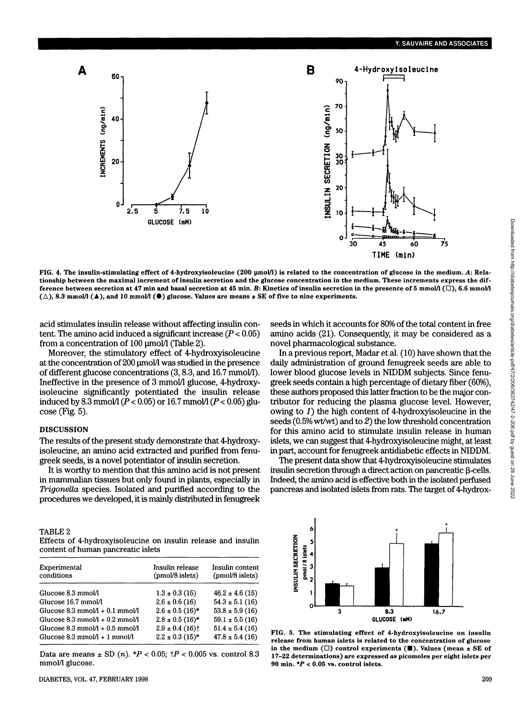

FIG. 4. The insulin-stimulating effect of 4-hydroxyisoleucine (200 µmol/l) is related to the concentration of glucose in the medium. A: Rela**tionship between the maximal increment of insulin secretion and the glucose concentration in the medium. These increments express the difference between secretion at 47 min and basal secretion at 45 min.** *B:* **Kinetics of insulin secretion in the presence of 5 mmol/1 (D), 6.6 mmol/1**  $(\triangle)$ , 8.3 mmol/l ( $\blacktriangle$ ), and 10 mmol/l ( $\blacklozenge$ ) glucose. Values are means  $\pm$  SE of five to nine experiments.

acid stimulates insulin release without affecting insulin content. The amino acid induced a significant increase *(P <* 0.05) from a concentration of 100 µmol/l (Table 2).

Moreover, the stimulatory effect of 4-hydroxyisoleucine at the concentration of 200 umol/1 was studied in the presence of different glucose concentrations (3,8.3, and 16.7 mmol/1). Ineffective in the presence of 3 mmol/1 glucose, 4-hydroxyisoleucine significantly potentiated the insulin release induced by 8.3 mmol/1 *(P <* 0.05) or 16.7 mmol/1 (P < 0.05) glucose (Fig. 5).

## DISCUSSION

The results of the present study demonstrate that 4-hydroxyisoleucine, an amino acid extracted and purified from fenugreek seeds, is a novel potentiator of insulin secretion.

It is worthy to mention that this amino acid is not present in mammalian tissues but only found in plants, especially in *Trigonella* species. Isolated and purified according to the procedures we developed, it is mainly distributed in fenugreek

seeds in which it accounts for 80% of the total content in free amino acids (21). Consequently, it may be considered as a novel pharmacological substance.

In a previous report, Madar et al. (10) have shown that the daily administration of ground fenugreek seeds are able to lower blood glucose levels in NIDDM subjects. Since fenugreek seeds contain a high percentage of dietary fiber (60%), these authors proposed this latter fraction to be the major contributor for reducing the plasma glucose level. However, owing to  $I$ ) the high content of 4-hydroxyisoleucine in the seeds (0.5% wt/wt) and to *2)* the low threshold concentration for this amino acid to stimulate insulin release in human islets, we can suggest that 4-hydroxyisoleucine might, at least in part, account for fenugreek antidiabetic effects in NIDDM.

The present data show that 4-hydroxyisoleucine stimulates insulin secretion through a direct action on pancreatic  $\beta$ -cells. Indeed, the amino acid is effective both in the isolated perfused pancreas and isolated islets from rats. The target of 4-hydrox-

TABLE<sub>2</sub>

Effects of 4-hydroxyisoleucine on insulin release and insulin content of human pancreatic islets

| Experimental<br>conditions                                                     | Insulin release<br>(pmol/8 islets)                     | Insulin content<br>(pmol/8 islets)       |  |
|--------------------------------------------------------------------------------|--------------------------------------------------------|------------------------------------------|--|
| Glucose 8.3 mmol/l                                                             | $1.3 \pm 0.3$ (15)                                     | $46.2 \pm 4.6$ (15)                      |  |
| Glucose 16.7 mmol/l                                                            | $2.6 \pm 0.6$ (16)                                     | $54.3 \pm 5.1(16)$                       |  |
| Glucose $8.3$ mmol $/1 + 0.1$ mmol $/1$                                        | $2.6 \pm 0.5$ (16)*                                    | $53.8 \pm 5.9$ (16)                      |  |
| Glucose 8.3 mmol $/1 + 0.2$ mmol $/1$                                          | $2.8 \pm 0.5$ (16)*                                    | $59.1 \pm 5.5(16)$                       |  |
| Glucose $8.3$ mmol $/1 + 0.5$ mmol $/1$<br>Glucose 8.3 mmol $/1 + 1$ mmol $/1$ | $2.9 \pm 0.4$ (16) <sup>†</sup><br>$2.2 \pm 0.3$ (15)* | $51.4 \pm 5.4(16)$<br>$47.8 \pm 5.4(16)$ |  |

Data are means  $\pm$  SD (*n*).  $*P < 0.05$ ;  $\uparrow P < 0.005$  vs. control 8.3 mmol/1 glucose.



**FIG. 5. The stimulating effect of 4-hydroxyisoleucine on insulin release from human islets is related to the concentration of glucose in the medium (D) control experiments (•). Values (mean ± SE of 17-22 determinations) are expressed as picomoles per eight islets per 90 min.** *\*P* **< 0.05 vs. control islets.**